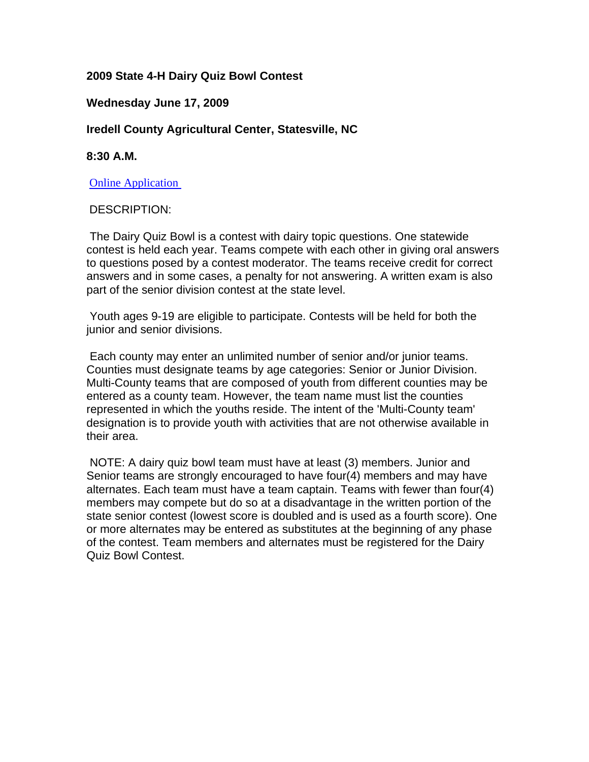## **2009 State 4-H Dairy Quiz Bowl Contest**

## **Wednesday June 17, 2009**

# **Iredell County Agricultural Center, Statesville, NC**

## **8:30 A.M.**

**Online Application** 

### DESCRIPTION:

 The Dairy Quiz Bowl is a contest with dairy topic questions. One statewide contest is held each year. Teams compete with each other in giving oral answers to questions posed by a contest moderator. The teams receive credit for correct answers and in some cases, a penalty for not answering. A written exam is also part of the senior division contest at the state level.

 Youth ages 9-19 are eligible to participate. Contests will be held for both the iunior and senior divisions.

 Each county may enter an unlimited number of senior and/or junior teams. Counties must designate teams by age categories: Senior or Junior Division. Multi-County teams that are composed of youth from different counties may be entered as a county team. However, the team name must list the counties represented in which the youths reside. The intent of the 'Multi-County team' designation is to provide youth with activities that are not otherwise available in their area.

 NOTE: A dairy quiz bowl team must have at least (3) members. Junior and Senior teams are strongly encouraged to have four(4) members and may have alternates. Each team must have a team captain. Teams with fewer than four(4) members may compete but do so at a disadvantage in the written portion of the state senior contest (lowest score is doubled and is used as a fourth score). One or more alternates may be entered as substitutes at the beginning of any phase of the contest. Team members and alternates must be registered for the Dairy Quiz Bowl Contest.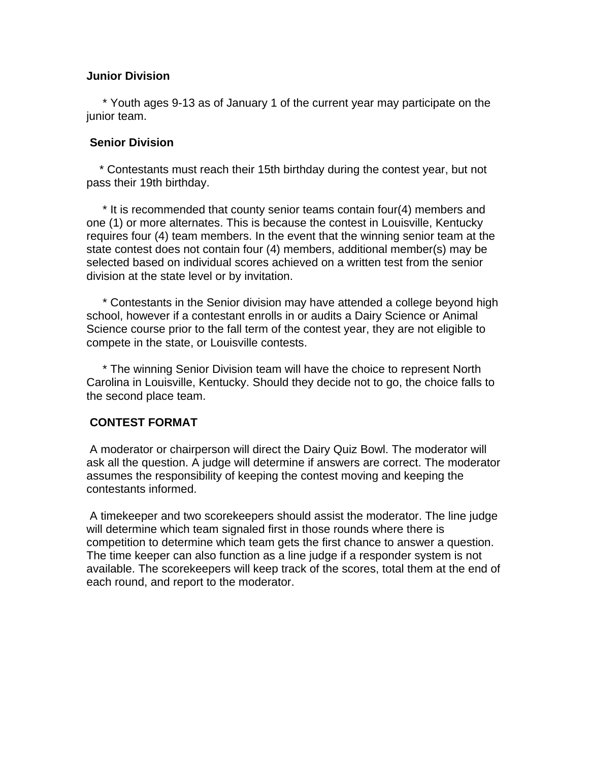### **Junior Division**

 \* Youth ages 9-13 as of January 1 of the current year may participate on the junior team.

### **Senior Division**

 \* Contestants must reach their 15th birthday during the contest year, but not pass their 19th birthday.

 \* It is recommended that county senior teams contain four(4) members and one (1) or more alternates. This is because the contest in Louisville, Kentucky requires four (4) team members. In the event that the winning senior team at the state contest does not contain four (4) members, additional member(s) may be selected based on individual scores achieved on a written test from the senior division at the state level or by invitation.

 \* Contestants in the Senior division may have attended a college beyond high school, however if a contestant enrolls in or audits a Dairy Science or Animal Science course prior to the fall term of the contest year, they are not eligible to compete in the state, or Louisville contests.

 \* The winning Senior Division team will have the choice to represent North Carolina in Louisville, Kentucky. Should they decide not to go, the choice falls to the second place team.

## **CONTEST FORMAT**

 A moderator or chairperson will direct the Dairy Quiz Bowl. The moderator will ask all the question. A judge will determine if answers are correct. The moderator assumes the responsibility of keeping the contest moving and keeping the contestants informed.

 A timekeeper and two scorekeepers should assist the moderator. The line judge will determine which team signaled first in those rounds where there is competition to determine which team gets the first chance to answer a question. The time keeper can also function as a line judge if a responder system is not available. The scorekeepers will keep track of the scores, total them at the end of each round, and report to the moderator.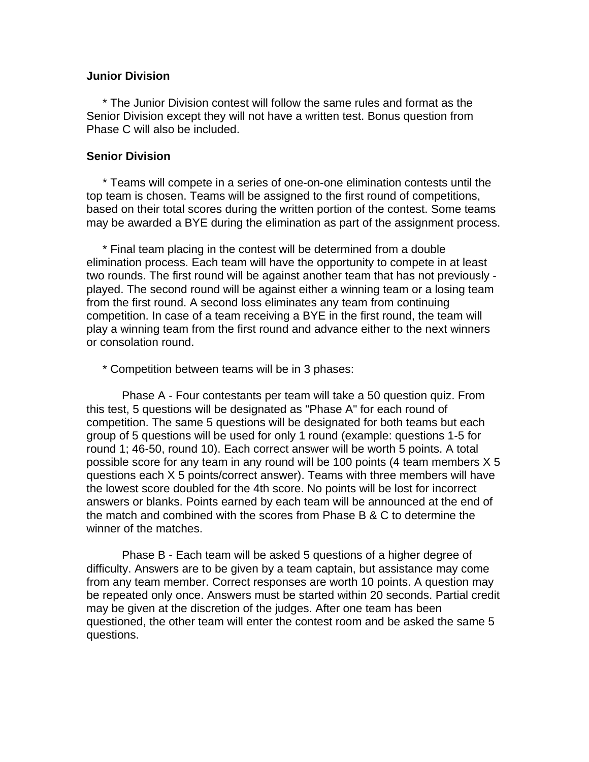#### **Junior Division**

 \* The Junior Division contest will follow the same rules and format as the Senior Division except they will not have a written test. Bonus question from Phase C will also be included.

#### **Senior Division**

 \* Teams will compete in a series of one-on-one elimination contests until the top team is chosen. Teams will be assigned to the first round of competitions, based on their total scores during the written portion of the contest. Some teams may be awarded a BYE during the elimination as part of the assignment process.

 \* Final team placing in the contest will be determined from a double elimination process. Each team will have the opportunity to compete in at least two rounds. The first round will be against another team that has not previously played. The second round will be against either a winning team or a losing team from the first round. A second loss eliminates any team from continuing competition. In case of a team receiving a BYE in the first round, the team will play a winning team from the first round and advance either to the next winners or consolation round.

\* Competition between teams will be in 3 phases:

 Phase A - Four contestants per team will take a 50 question quiz. From this test, 5 questions will be designated as "Phase A" for each round of competition. The same 5 questions will be designated for both teams but each group of 5 questions will be used for only 1 round (example: questions 1-5 for round 1; 46-50, round 10). Each correct answer will be worth 5 points. A total possible score for any team in any round will be 100 points (4 team members X 5 questions each X 5 points/correct answer). Teams with three members will have the lowest score doubled for the 4th score. No points will be lost for incorrect answers or blanks. Points earned by each team will be announced at the end of the match and combined with the scores from Phase B & C to determine the winner of the matches.

 Phase B - Each team will be asked 5 questions of a higher degree of difficulty. Answers are to be given by a team captain, but assistance may come from any team member. Correct responses are worth 10 points. A question may be repeated only once. Answers must be started within 20 seconds. Partial credit may be given at the discretion of the judges. After one team has been questioned, the other team will enter the contest room and be asked the same 5 questions.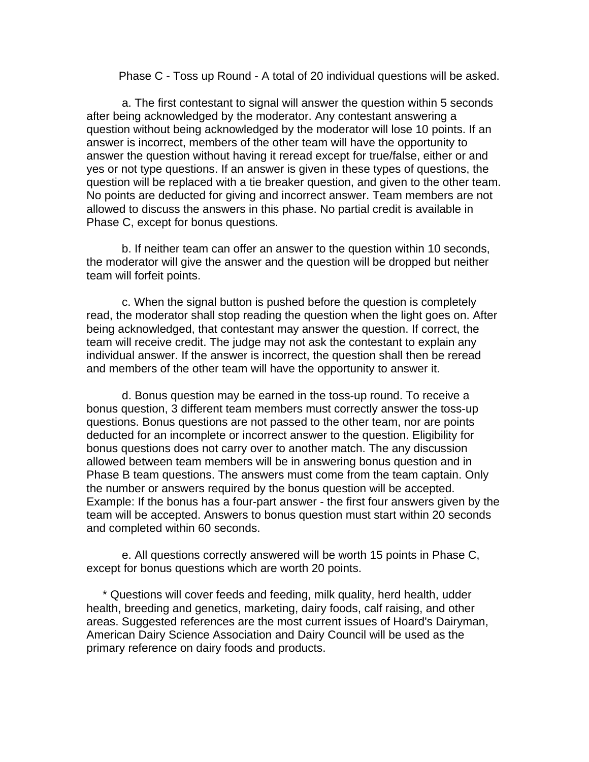Phase C - Toss up Round - A total of 20 individual questions will be asked.

 a. The first contestant to signal will answer the question within 5 seconds after being acknowledged by the moderator. Any contestant answering a question without being acknowledged by the moderator will lose 10 points. If an answer is incorrect, members of the other team will have the opportunity to answer the question without having it reread except for true/false, either or and yes or not type questions. If an answer is given in these types of questions, the question will be replaced with a tie breaker question, and given to the other team. No points are deducted for giving and incorrect answer. Team members are not allowed to discuss the answers in this phase. No partial credit is available in Phase C, except for bonus questions.

 b. If neither team can offer an answer to the question within 10 seconds, the moderator will give the answer and the question will be dropped but neither team will forfeit points.

 c. When the signal button is pushed before the question is completely read, the moderator shall stop reading the question when the light goes on. After being acknowledged, that contestant may answer the question. If correct, the team will receive credit. The judge may not ask the contestant to explain any individual answer. If the answer is incorrect, the question shall then be reread and members of the other team will have the opportunity to answer it.

 d. Bonus question may be earned in the toss-up round. To receive a bonus question, 3 different team members must correctly answer the toss-up questions. Bonus questions are not passed to the other team, nor are points deducted for an incomplete or incorrect answer to the question. Eligibility for bonus questions does not carry over to another match. The any discussion allowed between team members will be in answering bonus question and in Phase B team questions. The answers must come from the team captain. Only the number or answers required by the bonus question will be accepted. Example: If the bonus has a four-part answer - the first four answers given by the team will be accepted. Answers to bonus question must start within 20 seconds and completed within 60 seconds.

 e. All questions correctly answered will be worth 15 points in Phase C, except for bonus questions which are worth 20 points.

 \* Questions will cover feeds and feeding, milk quality, herd health, udder health, breeding and genetics, marketing, dairy foods, calf raising, and other areas. Suggested references are the most current issues of Hoard's Dairyman, American Dairy Science Association and Dairy Council will be used as the primary reference on dairy foods and products.